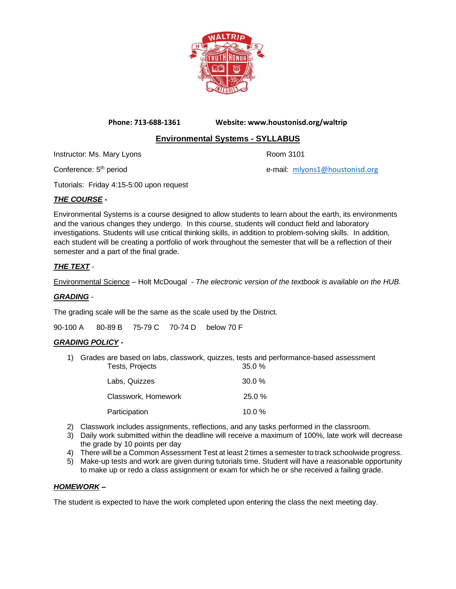

**Phone: 713-688-1361 Website: www.houstonisd.org/waltrip**

# **Environmental Systems - SYLLABUS**

Instructor: Ms. Mary Lyons Room 3101

Conference: 5<sup>th</sup> period e-mail: [mlyons1@houstonisd.org](mailto:mlyons1@houstonisd.org)

Tutorials: Friday 4:15-5:00 upon request

# *THE COURSE -*

Environmental Systems is a course designed to allow students to learn about the earth, its environments and the various changes they undergo. In this course, students will conduct field and laboratory investigations. Students will use critical thinking skills, in addition to problem-solving skills. In addition, each student will be creating a portfolio of work throughout the semester that will be a reflection of their semester and a part of the final grade.

## *THE TEXT -*

Environmental Science – Holt McDougal - *The electronic version of the textbook is available on the HUB.*

#### *GRADING -*

The grading scale will be the same as the scale used by the District.

90-100 A 80-89 B 75-79 C 70-74 D below 70 F

#### *GRADING POLICY -*

1) Grades are based on labs, classwork, quizzes, tests and performance-based assessment<br>Tests. Projects 35.0 % Tests, Projects

| Labs, Quizzes       | $30.0 \%$ |
|---------------------|-----------|
| Classwork, Homework | $25.0 \%$ |
| Participation       | 10.0%     |

- 2) Classwork includes assignments, reflections, and any tasks performed in the classroom.
- 3) Daily work submitted within the deadline will receive a maximum of 100%, late work will decrease the grade by 10 points per day
- 4) There will be a Common Assessment Test at least 2 times a semester to track schoolwide progress.
- 5) Make-up tests and work are given during tutorials time. Student will have a reasonable opportunity to make up or redo a class assignment or exam for which he or she received a failing grade.

#### *HOMEWORK –*

The student is expected to have the work completed upon entering the class the next meeting day.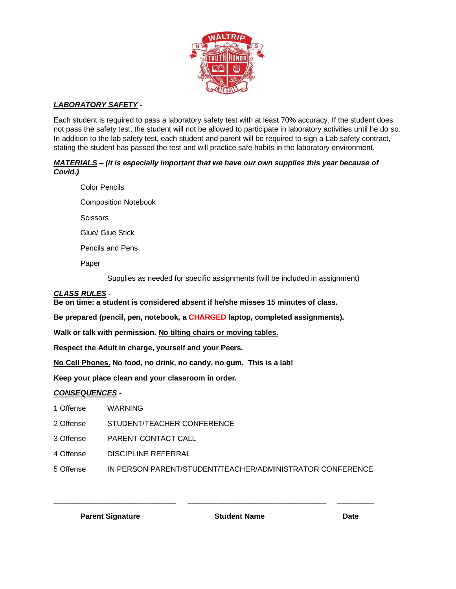

# *LABORATORY SAFETY -*

Each student is required to pass a laboratory safety test with at least 70% accuracy. If the student does not pass the safety test, the student will not be allowed to participate in laboratory activities until he do so. In addition to the lab safety test, each student and parent will be required to sign a Lab safety contract, stating the student has passed the test and will practice safe habits in the laboratory environment.

#### *MATERIALS – (it is especially important that we have our own supplies this year because of Covid.)*

Color Pencils Composition Notebook **Scissors** 

Glue/ Glue Stick

Pencils and Pens

Paper

Supplies as needed for specific assignments (will be included in assignment)

### *CLASS RULES -*

**Be on time: a student is considered absent if he/she misses 15 minutes of class.**

**Be prepared (pencil, pen, notebook, a CHARGED laptop, completed assignments).**

**Walk or talk with permission. No tilting chairs or moving tables.**

**Respect the Adult in charge, yourself and your Peers.**

**No Cell Phones. No food, no drink, no candy, no gum. This is a lab!**

**Keep your place clean and your classroom in order.**

#### *CONSEQUENCES -*

| 1 Offense | <b>WARNING</b> |
|-----------|----------------|
|           |                |

2 Offense STUDENT/TEACHER CONFERENCE

3 Offense PARENT CONTACT CALL

4 Offense DISCIPLINE REFERRAL

5 Offense IN PERSON PARENT/STUDENT/TEACHER/ADMINISTRATOR CONFERENCE

\_\_\_\_\_\_\_\_\_\_\_\_\_\_\_\_\_\_\_\_\_\_\_\_\_\_\_\_\_\_ \_\_\_\_\_\_\_\_\_\_\_\_\_\_\_\_\_\_\_\_\_\_\_\_\_\_\_\_\_\_\_\_\_\_ \_\_\_\_\_\_\_\_\_